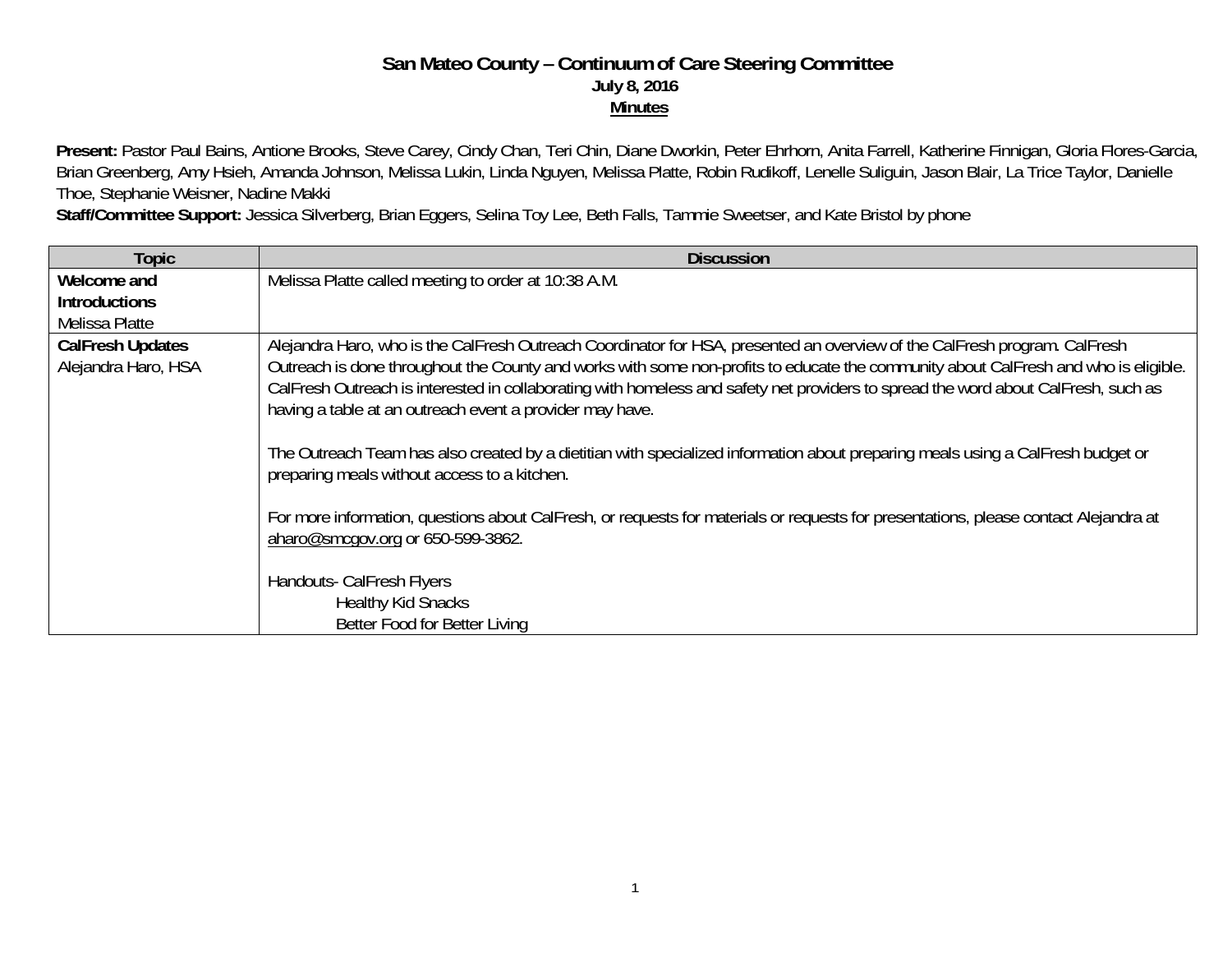## **San Mateo County – Continuum of Care Steering Committee July 8, 2016 Minutes**

Present: Pastor Paul Bains, Antione Brooks, Steve Carey, Cindy Chan, Teri Chin, Diane Dworkin, Peter Ehrhorn, Anita Farrell, Katherine Finnigan, Gloria Flores-Garcia, Brian Greenberg, Amy Hsieh, Amanda Johnson, Melissa Lukin, Linda Nguyen, Melissa Platte, Robin Rudikoff, Lenelle Suliguin, Jason Blair, La Trice Taylor, Danielle Thoe, Stephanie Weisner, Nadine Makki

**Staff/Committee Support:** Jessica Silverberg, Brian Eggers, Selina Toy Lee, Beth Falls, Tammie Sweetser, and Kate Bristol by phone

| <b>Topic</b>                                   | <b>Discussion</b>                                                                                                                                                                                                                                                                                                                                                                                                                                                  |
|------------------------------------------------|--------------------------------------------------------------------------------------------------------------------------------------------------------------------------------------------------------------------------------------------------------------------------------------------------------------------------------------------------------------------------------------------------------------------------------------------------------------------|
| Welcome and                                    | Melissa Platte called meeting to order at 10:38 A.M.                                                                                                                                                                                                                                                                                                                                                                                                               |
| <b>Introductions</b>                           |                                                                                                                                                                                                                                                                                                                                                                                                                                                                    |
| Melissa Platte                                 |                                                                                                                                                                                                                                                                                                                                                                                                                                                                    |
| <b>CalFresh Updates</b><br>Alejandra Haro, HSA | Alejandra Haro, who is the CalFresh Outreach Coordinator for HSA, presented an overview of the CalFresh program. CalFresh<br>Outreach is done throughout the County and works with some non-profits to educate the community about CalFresh and who is eligible.<br>CalFresh Outreach is interested in collaborating with homeless and safety net providers to spread the word about CalFresh, such as<br>having a table at an outreach event a provider may have. |
|                                                | The Outreach Team has also created by a dietitian with specialized information about preparing meals using a CalFresh budget or<br>preparing meals without access to a kitchen.                                                                                                                                                                                                                                                                                    |
|                                                | For more information, questions about CalFresh, or requests for materials or requests for presentations, please contact Alejandra at<br>aharo@smcqov.org or 650-599-3862.                                                                                                                                                                                                                                                                                          |
|                                                | Handouts- CalFresh Flyers<br><b>Healthy Kid Snacks</b><br>Better Food for Better Living                                                                                                                                                                                                                                                                                                                                                                            |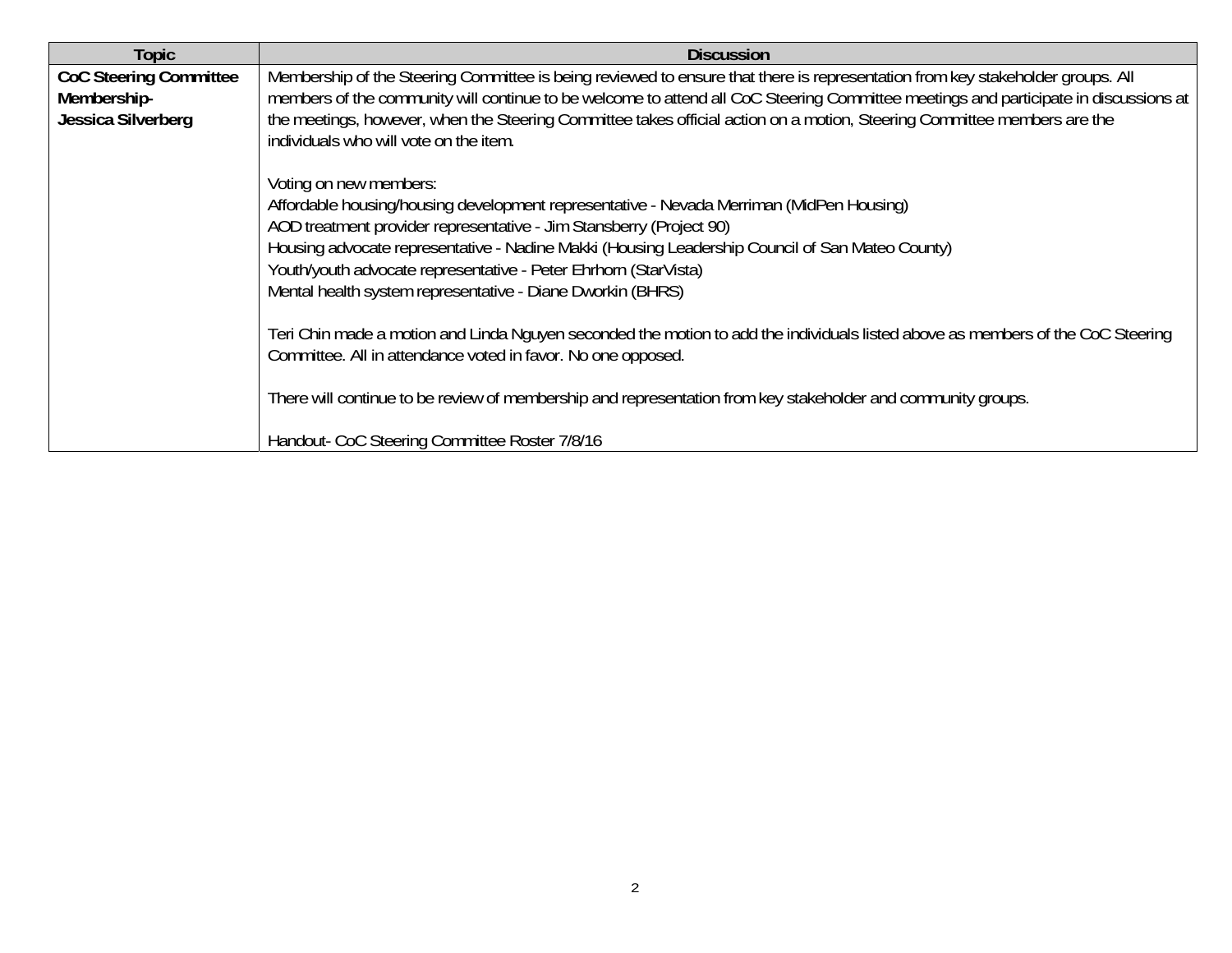| Topic                                                              | <b>Discussion</b>                                                                                                                                                                                                                                                                                                                                                                                                                            |
|--------------------------------------------------------------------|----------------------------------------------------------------------------------------------------------------------------------------------------------------------------------------------------------------------------------------------------------------------------------------------------------------------------------------------------------------------------------------------------------------------------------------------|
| <b>CoC Steering Committee</b><br>Membership-<br>Jessica Silverberg | Membership of the Steering Committee is being reviewed to ensure that there is representation from key stakeholder groups. All<br>members of the community will continue to be welcome to attend all CoC Steering Committee meetings and participate in discussions at<br>the meetings, however, when the Steering Committee takes official action on a motion, Steering Committee members are the<br>individuals who will vote on the item. |
|                                                                    | Voting on new members:<br>Affordable housing/housing development representative - Nevada Merriman (MidPen Housing)<br>AOD treatment provider representative - Jim Stansberry (Project 90)<br>Housing advocate representative - Nadine Makki (Housing Leadership Council of San Mateo County)<br>Youth/youth advocate representative - Peter Ehrhorn (StarVista)<br>Mental health system representative - Diane Dworkin (BHRS)                |
|                                                                    | Teri Chin made a motion and Linda Nguyen seconded the motion to add the individuals listed above as members of the CoC Steering<br>Committee. All in attendance voted in favor. No one opposed.<br>There will continue to be review of membership and representation from key stakeholder and community groups.                                                                                                                              |
|                                                                    | Handout- CoC Steering Committee Roster 7/8/16                                                                                                                                                                                                                                                                                                                                                                                                |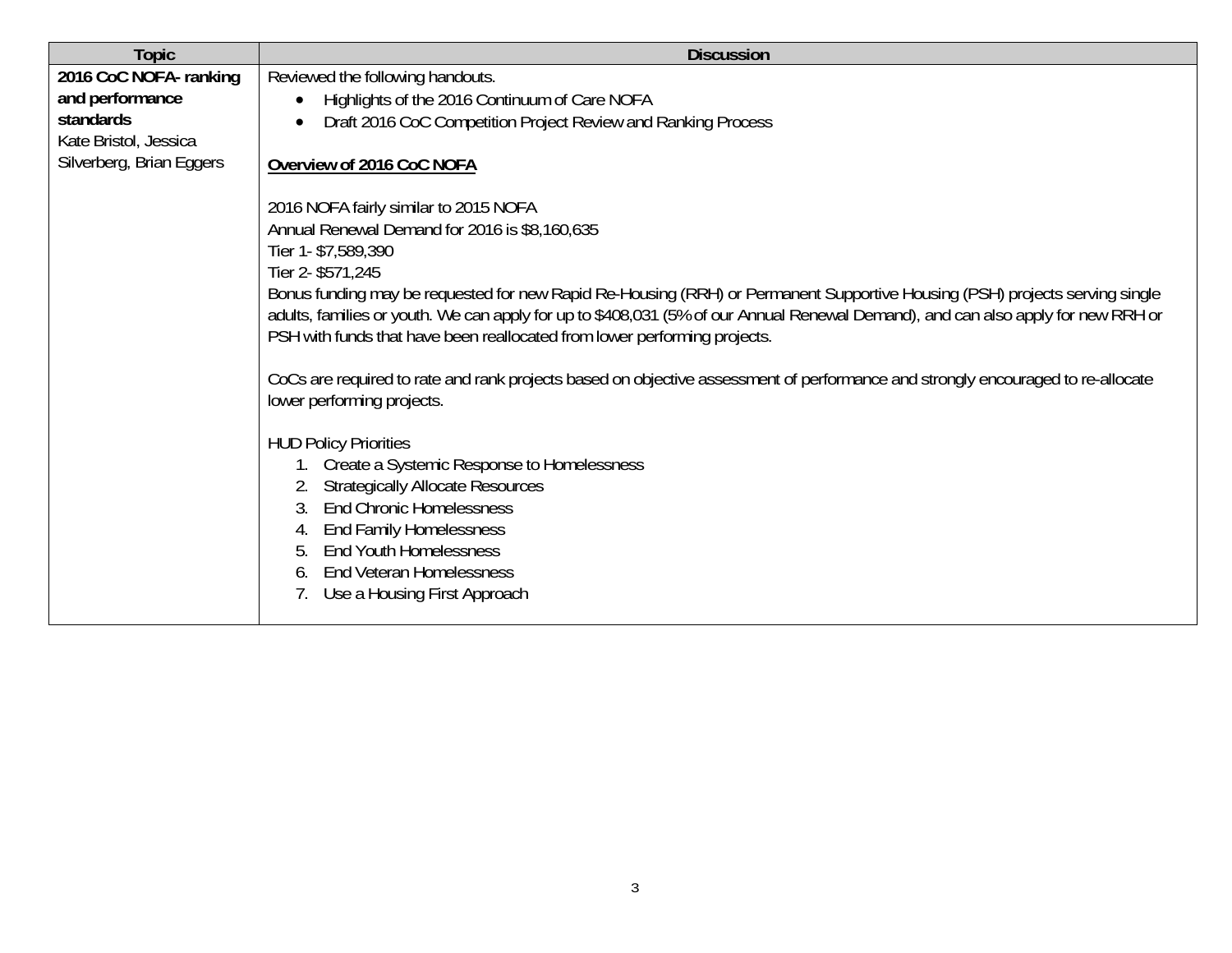| <b>Topic</b>             | <b>Discussion</b>                                                                                                                                                                                                                                                                                                                                                                                                                                                                                                                                                                                                                                                                                                                                                                                                                                                                                                                                                 |
|--------------------------|-------------------------------------------------------------------------------------------------------------------------------------------------------------------------------------------------------------------------------------------------------------------------------------------------------------------------------------------------------------------------------------------------------------------------------------------------------------------------------------------------------------------------------------------------------------------------------------------------------------------------------------------------------------------------------------------------------------------------------------------------------------------------------------------------------------------------------------------------------------------------------------------------------------------------------------------------------------------|
| 2016 CoC NOFA-ranking    | Reviewed the following handouts.                                                                                                                                                                                                                                                                                                                                                                                                                                                                                                                                                                                                                                                                                                                                                                                                                                                                                                                                  |
| and performance          | Highlights of the 2016 Continuum of Care NOFA                                                                                                                                                                                                                                                                                                                                                                                                                                                                                                                                                                                                                                                                                                                                                                                                                                                                                                                     |
| standards                | Draft 2016 CoC Competition Project Review and Ranking Process                                                                                                                                                                                                                                                                                                                                                                                                                                                                                                                                                                                                                                                                                                                                                                                                                                                                                                     |
| Kate Bristol, Jessica    |                                                                                                                                                                                                                                                                                                                                                                                                                                                                                                                                                                                                                                                                                                                                                                                                                                                                                                                                                                   |
| Silverberg, Brian Eggers | Overview of 2016 CoC NOFA                                                                                                                                                                                                                                                                                                                                                                                                                                                                                                                                                                                                                                                                                                                                                                                                                                                                                                                                         |
|                          | 2016 NOFA fairly similar to 2015 NOFA<br>Annual Renewal Demand for 2016 is \$8,160,635<br>Tier 1- \$7,589,390<br>Tier 2- \$571,245<br>Bonus funding may be requested for new Rapid Re-Housing (RRH) or Permanent Supportive Housing (PSH) projects serving single<br>adults, families or youth. We can apply for up to \$408,031 (5% of our Annual Renewal Demand), and can also apply for new RRH or<br>PSH with funds that have been reallocated from lower performing projects.<br>CoCs are required to rate and rank projects based on objective assessment of performance and strongly encouraged to re-allocate<br>lower performing projects.<br><b>HUD Policy Priorities</b><br>Create a Systemic Response to Homelessness<br><b>Strategically Allocate Resources</b><br><b>End Chronic Homelessness</b><br><b>End Family Homelessness</b><br><b>End Youth Homelessness</b><br>5.<br><b>End Veteran Homelessness</b><br>6.<br>Use a Housing First Approach |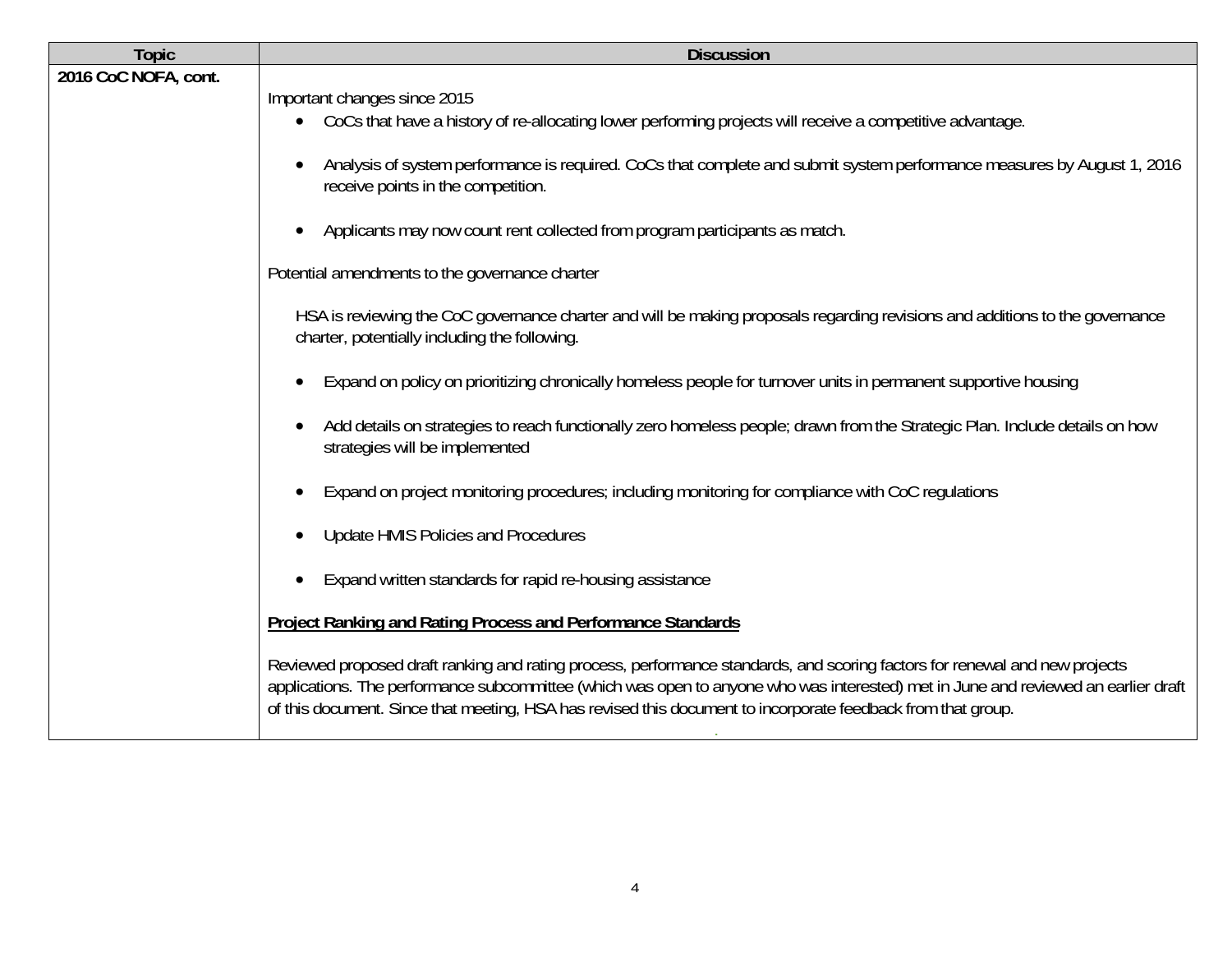| <b>Topic</b>         | <b>Discussion</b>                                                                                                                                                                                                                                                                                                                                                                 |
|----------------------|-----------------------------------------------------------------------------------------------------------------------------------------------------------------------------------------------------------------------------------------------------------------------------------------------------------------------------------------------------------------------------------|
| 2016 CoC NOFA, cont. | Important changes since 2015<br>CoCs that have a history of re-allocating lower performing projects will receive a competitive advantage.                                                                                                                                                                                                                                         |
|                      | Analysis of system performance is required. CoCs that complete and submit system performance measures by August 1, 2016<br>receive points in the competition.                                                                                                                                                                                                                     |
|                      | Applicants may now count rent collected from program participants as match.                                                                                                                                                                                                                                                                                                       |
|                      | Potential amendments to the governance charter                                                                                                                                                                                                                                                                                                                                    |
|                      | HSA is reviewing the CoC governance charter and will be making proposals regarding revisions and additions to the governance<br>charter, potentially including the following.                                                                                                                                                                                                     |
|                      | Expand on policy on prioritizing chronically homeless people for turnover units in permanent supportive housing                                                                                                                                                                                                                                                                   |
|                      | Add details on strategies to reach functionally zero homeless people; drawn from the Strategic Plan. Include details on how<br>strategies will be implemented                                                                                                                                                                                                                     |
|                      | Expand on project monitoring procedures; including monitoring for compliance with CoC regulations                                                                                                                                                                                                                                                                                 |
|                      | Update HMIS Policies and Procedures                                                                                                                                                                                                                                                                                                                                               |
|                      | Expand written standards for rapid re-housing assistance                                                                                                                                                                                                                                                                                                                          |
|                      | <b>Project Ranking and Rating Process and Performance Standards</b>                                                                                                                                                                                                                                                                                                               |
|                      | Reviewed proposed draft ranking and rating process, performance standards, and scoring factors for renewal and new projects<br>applications. The performance subcommittee (which was open to anyone who was interested) met in June and reviewed an earlier draft<br>of this document. Since that meeting, HSA has revised this document to incorporate feedback from that group. |

.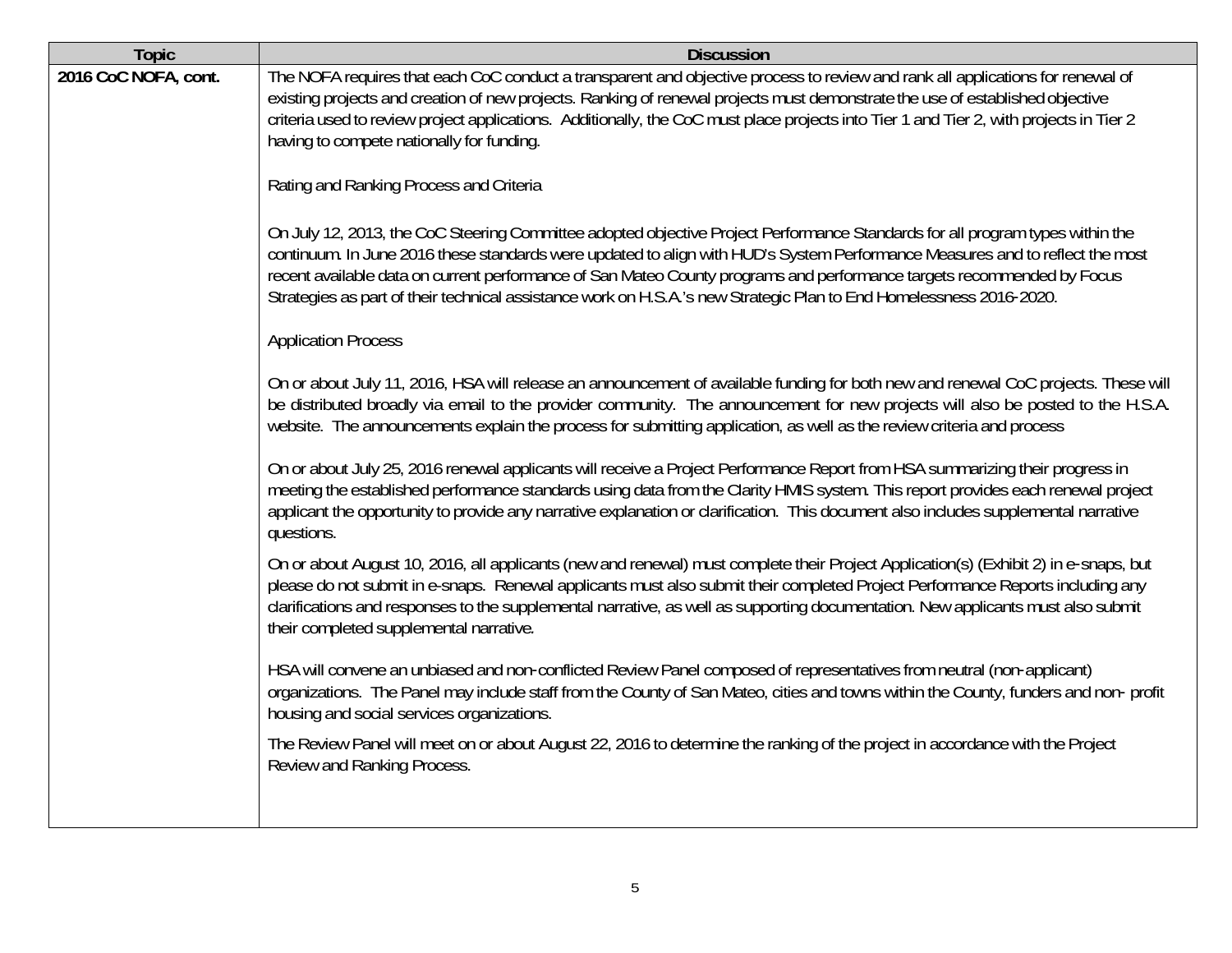| <b>Topic</b>         | <b>Discussion</b>                                                                                                                                                                                                                                                                                                                                                                                                                                                                                              |
|----------------------|----------------------------------------------------------------------------------------------------------------------------------------------------------------------------------------------------------------------------------------------------------------------------------------------------------------------------------------------------------------------------------------------------------------------------------------------------------------------------------------------------------------|
| 2016 CoC NOFA, cont. | The NOFA requires that each CoC conduct a transparent and objective process to review and rank all applications for renewal of<br>existing projects and creation of new projects. Ranking of renewal projects must demonstrate the use of established objective<br>criteria used to review project applications. Additionally, the CoC must place projects into Tier 1 and Tier 2, with projects in Tier 2<br>having to compete nationally for funding.                                                        |
|                      | Rating and Ranking Process and Criteria                                                                                                                                                                                                                                                                                                                                                                                                                                                                        |
|                      | On July 12, 2013, the CoC Steering Committee adopted objective Project Performance Standards for all program types within the<br>continuum. In June 2016 these standards were updated to align with HUD's System Performance Measures and to reflect the most<br>recent available data on current performance of San Mateo County programs and performance targets recommended by Focus<br>Strategies as part of their technical assistance work on H.S.A.'s new Strategic Plan to End Homelessness 2016-2020. |
|                      | <b>Application Process</b>                                                                                                                                                                                                                                                                                                                                                                                                                                                                                     |
|                      | On or about July 11, 2016, HSA will release an announcement of available funding for both new and renewal CoC projects. These will<br>be distributed broadly via email to the provider community. The announcement for new projects will also be posted to the H.S.A.<br>website. The announcements explain the process for submitting application, as well as the review criteria and process                                                                                                                 |
|                      | On or about July 25, 2016 renewal applicants will receive a Project Performance Report from HSA summarizing their progress in<br>meeting the established performance standards using data from the Clarity HMIS system. This report provides each renewal project<br>applicant the opportunity to provide any narrative explanation or clarification. This document also includes supplemental narrative<br>questions.                                                                                         |
|                      | On or about August 10, 2016, all applicants (new and renewal) must complete their Project Application(s) (Exhibit 2) in e-snaps, but<br>please do not submit in e-snaps. Renewal applicants must also submit their completed Project Performance Reports including any<br>clarifications and responses to the supplemental narrative, as well as supporting documentation. New applicants must also submit<br>their completed supplemental narrative.                                                          |
|                      | HSA will convene an unbiased and non-conflicted Review Panel composed of representatives from neutral (non-applicant)<br>organizations. The Panel may include staff from the County of San Mateo, cities and towns within the County, funders and non-profit<br>housing and social services organizations.                                                                                                                                                                                                     |
|                      | The Review Panel will meet on or about August 22, 2016 to determine the ranking of the project in accordance with the Project<br>Review and Ranking Process.                                                                                                                                                                                                                                                                                                                                                   |
|                      |                                                                                                                                                                                                                                                                                                                                                                                                                                                                                                                |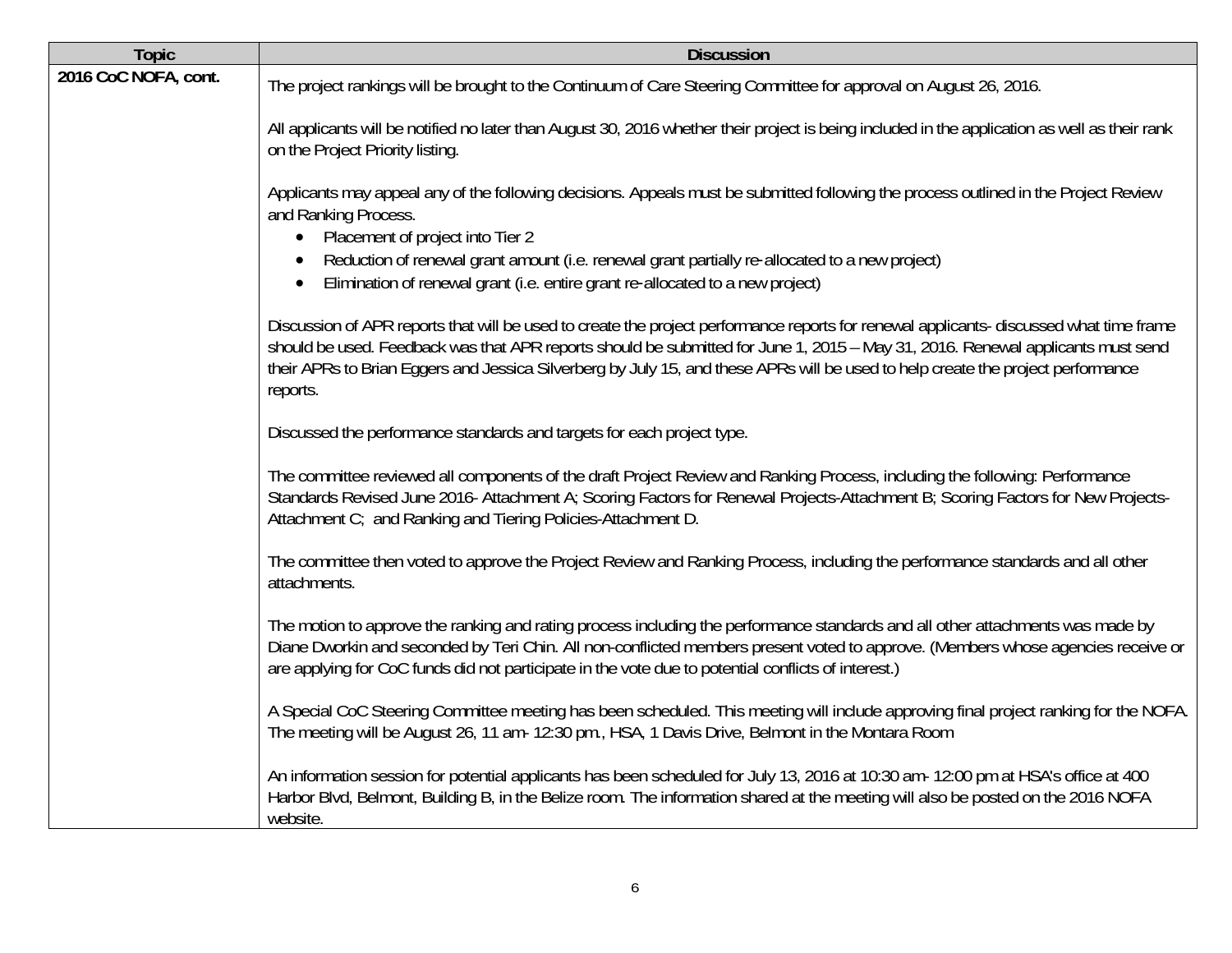| <b>Topic</b>         | <b>Discussion</b>                                                                                                                                                                                                                                                                                                                                                                                                          |
|----------------------|----------------------------------------------------------------------------------------------------------------------------------------------------------------------------------------------------------------------------------------------------------------------------------------------------------------------------------------------------------------------------------------------------------------------------|
| 2016 CoC NOFA, cont. | The project rankings will be brought to the Continuum of Care Steering Committee for approval on August 26, 2016.                                                                                                                                                                                                                                                                                                          |
|                      | All applicants will be notified no later than August 30, 2016 whether their project is being included in the application as well as their rank<br>on the Project Priority listing.                                                                                                                                                                                                                                         |
|                      | Applicants may appeal any of the following decisions. Appeals must be submitted following the process outlined in the Project Review<br>and Ranking Process.<br>Placement of project into Tier 2                                                                                                                                                                                                                           |
|                      | Reduction of renewal grant amount (i.e. renewal grant partially re-allocated to a new project)<br>Elimination of renewal grant (i.e. entire grant re-allocated to a new project)                                                                                                                                                                                                                                           |
|                      | Discussion of APR reports that will be used to create the project performance reports for renewal applicants- discussed what time frame<br>should be used. Feedback was that APR reports should be submitted for June 1, 2015 - May 31, 2016. Renewal applicants must send<br>their APRs to Brian Eggers and Jessica Silverberg by July 15, and these APRs will be used to help create the project performance<br>reports. |
|                      | Discussed the performance standards and targets for each project type.                                                                                                                                                                                                                                                                                                                                                     |
|                      | The committee reviewed all components of the draft Project Review and Ranking Process, including the following: Performance<br>Standards Revised June 2016- Attachment A; Scoring Factors for Renewal Projects-Attachment B; Scoring Factors for New Projects-<br>Attachment C; and Ranking and Tiering Policies-Attachment D.                                                                                             |
|                      | The committee then voted to approve the Project Review and Ranking Process, including the performance standards and all other<br>attachments.                                                                                                                                                                                                                                                                              |
|                      | The motion to approve the ranking and rating process including the performance standards and all other attachments was made by<br>Diane Dworkin and seconded by Teri Chin. All non-conflicted members present voted to approve. (Members whose agencies receive or<br>are applying for CoC funds did not participate in the vote due to potential conflicts of interest.)                                                  |
|                      | A Special CoC Steering Committee meeting has been scheduled. This meeting will include approving final project ranking for the NOFA.<br>The meeting will be August 26, 11 am- 12:30 pm., HSA, 1 Davis Drive, Belmont in the Montara Room                                                                                                                                                                                   |
|                      | An information session for potential applicants has been scheduled for July 13, 2016 at 10:30 am- 12:00 pm at HSA's office at 400<br>Harbor Blvd, Belmont, Building B, in the Belize room. The information shared at the meeting will also be posted on the 2016 NOFA<br>website.                                                                                                                                          |